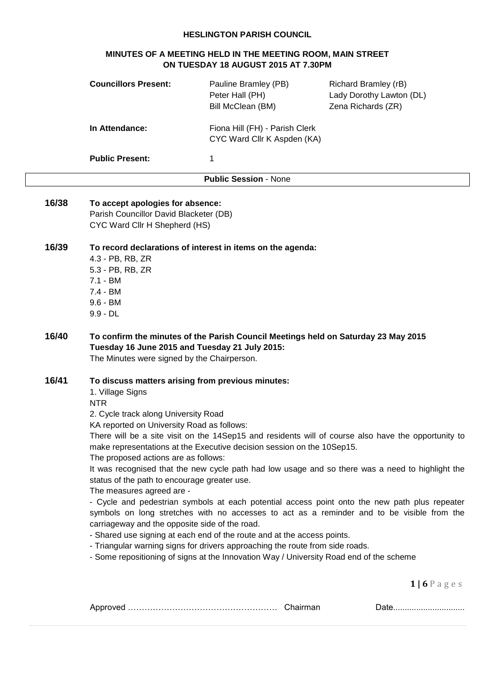## **HESLINGTON PARISH COUNCIL**

# **MINUTES OF A MEETING HELD IN THE MEETING ROOM, MAIN STREET ON TUESDAY 18 AUGUST 2015 AT 7.30PM**

|       | <b>Councillors Present:</b>                                                                                                                                                                                                                                                                                                                      | Pauline Bramley (PB)<br>Peter Hall (PH)<br>Bill McClean (BM)                                                                                                                                                                                                                                                                  | Richard Bramley (rB)<br>Lady Dorothy Lawton (DL)<br>Zena Richards (ZR)                                                                                                                                                                                                                                                                                                                                 |  |
|-------|--------------------------------------------------------------------------------------------------------------------------------------------------------------------------------------------------------------------------------------------------------------------------------------------------------------------------------------------------|-------------------------------------------------------------------------------------------------------------------------------------------------------------------------------------------------------------------------------------------------------------------------------------------------------------------------------|--------------------------------------------------------------------------------------------------------------------------------------------------------------------------------------------------------------------------------------------------------------------------------------------------------------------------------------------------------------------------------------------------------|--|
|       | In Attendance:                                                                                                                                                                                                                                                                                                                                   | Fiona Hill (FH) - Parish Clerk<br>CYC Ward Cllr K Aspden (KA)                                                                                                                                                                                                                                                                 |                                                                                                                                                                                                                                                                                                                                                                                                        |  |
|       | <b>Public Present:</b>                                                                                                                                                                                                                                                                                                                           | 1                                                                                                                                                                                                                                                                                                                             |                                                                                                                                                                                                                                                                                                                                                                                                        |  |
|       |                                                                                                                                                                                                                                                                                                                                                  | <b>Public Session - None</b>                                                                                                                                                                                                                                                                                                  |                                                                                                                                                                                                                                                                                                                                                                                                        |  |
| 16/38 | To accept apologies for absence:<br>Parish Councillor David Blacketer (DB)<br>CYC Ward Cllr H Shepherd (HS)                                                                                                                                                                                                                                      |                                                                                                                                                                                                                                                                                                                               |                                                                                                                                                                                                                                                                                                                                                                                                        |  |
| 16/39 | To record declarations of interest in items on the agenda:<br>4.3 - PB, RB, ZR<br>5.3 - PB, RB, ZR<br>$7.1 - BM$<br>$7.4 - BM$<br>$9.6 - BM$<br>$9.9 - DL$                                                                                                                                                                                       |                                                                                                                                                                                                                                                                                                                               |                                                                                                                                                                                                                                                                                                                                                                                                        |  |
| 16/40 | To confirm the minutes of the Parish Council Meetings held on Saturday 23 May 2015<br>Tuesday 16 June 2015 and Tuesday 21 July 2015:<br>The Minutes were signed by the Chairperson.                                                                                                                                                              |                                                                                                                                                                                                                                                                                                                               |                                                                                                                                                                                                                                                                                                                                                                                                        |  |
| 16/41 | To discuss matters arising from previous minutes:<br>1. Village Signs<br><b>NTR</b><br>2. Cycle track along University Road<br>KA reported on University Road as follows:<br>The proposed actions are as follows:<br>status of the path to encourage greater use.<br>The measures agreed are -<br>carriageway and the opposite side of the road. | make representations at the Executive decision session on the 10Sep15.<br>- Shared use signing at each end of the route and at the access points.<br>- Triangular warning signs for drivers approaching the route from side roads.<br>- Some repositioning of signs at the Innovation Way / University Road end of the scheme | There will be a site visit on the 14Sep15 and residents will of course also have the opportunity to<br>It was recognised that the new cycle path had low usage and so there was a need to highlight the<br>- Cycle and pedestrian symbols at each potential access point onto the new path plus repeater<br>symbols on long stretches with no accesses to act as a reminder and to be visible from the |  |
|       |                                                                                                                                                                                                                                                                                                                                                  |                                                                                                                                                                                                                                                                                                                               | $1 6P$ ages                                                                                                                                                                                                                                                                                                                                                                                            |  |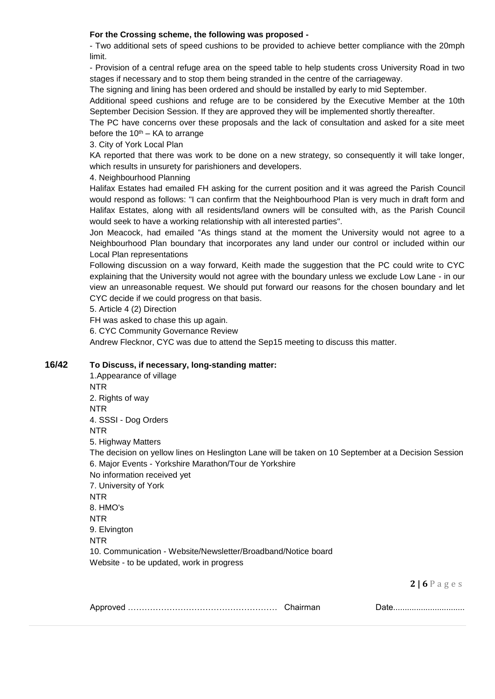## **For the Crossing scheme, the following was proposed -**

- Two additional sets of speed cushions to be provided to achieve better compliance with the 20mph limit.

- Provision of a central refuge area on the speed table to help students cross University Road in two stages if necessary and to stop them being stranded in the centre of the carriageway.

The signing and lining has been ordered and should be installed by early to mid September.

Additional speed cushions and refuge are to be considered by the Executive Member at the 10th September Decision Session. If they are approved they will be implemented shortly thereafter.

The PC have concerns over these proposals and the lack of consultation and asked for a site meet before the  $10^{th}$  – KA to arrange

3. City of York Local Plan

KA reported that there was work to be done on a new strategy, so consequently it will take longer, which results in unsurety for parishioners and developers.

4. Neighbourhood Planning

Halifax Estates had emailed FH asking for the current position and it was agreed the Parish Council would respond as follows: "I can confirm that the Neighbourhood Plan is very much in draft form and Halifax Estates, along with all residents/land owners will be consulted with, as the Parish Council would seek to have a working relationship with all interested parties".

Jon Meacock, had emailed "As things stand at the moment the University would not agree to a Neighbourhood Plan boundary that incorporates any land under our control or included within our Local Plan representations

Following discussion on a way forward, Keith made the suggestion that the PC could write to CYC explaining that the University would not agree with the boundary unless we exclude Low Lane - in our view an unreasonable request. We should put forward our reasons for the chosen boundary and let CYC decide if we could progress on that basis.

5. Article 4 (2) Direction

FH was asked to chase this up again.

6. CYC Community Governance Review

Andrew Flecknor, CYC was due to attend the Sep15 meeting to discuss this matter.

## **16/42 To Discuss, if necessary, long-standing matter:**

1.Appearance of village NTR 2. Rights of way NTR 4. SSSI - Dog Orders NTR 5. Highway Matters The decision on yellow lines on Heslington Lane will be taken on 10 September at a Decision Session 6. Major Events - Yorkshire Marathon/Tour de Yorkshire No information received yet 7. University of York NTR 8. HMO's NTR 9. Elvington NTR 10. Communication - Website/Newsletter/Broadband/Notice board Website - to be updated, work in progress

**2 | 6** P a g e s

|  | .w |
|--|----|
|  |    |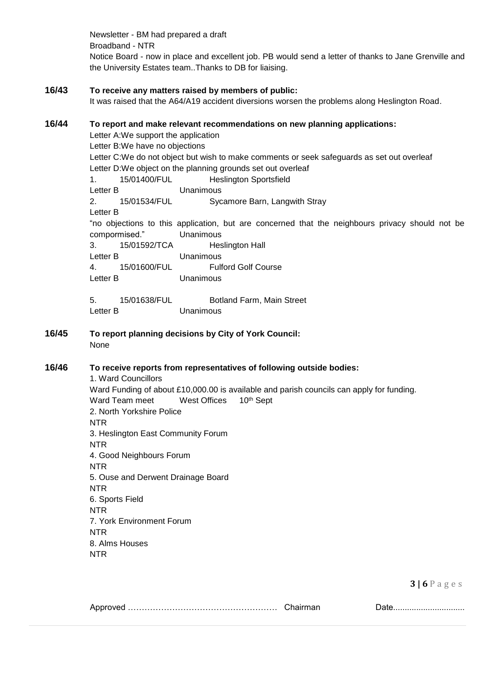Newsletter - BM had prepared a draft Broadband - NTR Notice Board - now in place and excellent job. PB would send a letter of thanks to Jane Grenville and the University Estates team..Thanks to DB for liaising.

# **16/43 To receive any matters raised by members of public:**

It was raised that the A64/A19 accident diversions worsen the problems along Heslington Road.

## **16/44 To report and make relevant recommendations on new planning applications:**

Letter A:We support the application Letter B:We have no objections Letter C:We do not object but wish to make comments or seek safeguards as set out overleaf Letter D:We object on the planning grounds set out overleaf 1. 15/01400/FUL Heslington Sportsfield Letter B Unanimous 2. 15/01534/FUL Sycamore Barn, Langwith Stray Letter B "no objections to this application, but are concerned that the neighbours privacy should not be compormised." Unanimous 3. 15/01592/TCA Heslington Hall Letter B Unanimous 4. 15/01600/FUL Fulford Golf Course Letter B Unanimous 5. 15/01638/FUL Botland Farm, Main Street Letter B Unanimous **16/45 To report planning decisions by City of York Council:** None **16/46 To receive reports from representatives of following outside bodies:** 1. Ward Councillors Ward Funding of about £10,000.00 is available and parish councils can apply for funding. Ward Team meet West Offices 10<sup>th</sup> Sept 2. North Yorkshire Police NTR 3. Heslington East Community Forum NTR 4. Good Neighbours Forum NTR 5. Ouse and Derwent Drainage Board NTR 6. Sports Field

**3 | 6** P a g e s

|  | Chairmar |
|--|----------|
|--|----------|

NTR

NTR

NTR

8. Alms Houses

7. York Environment Forum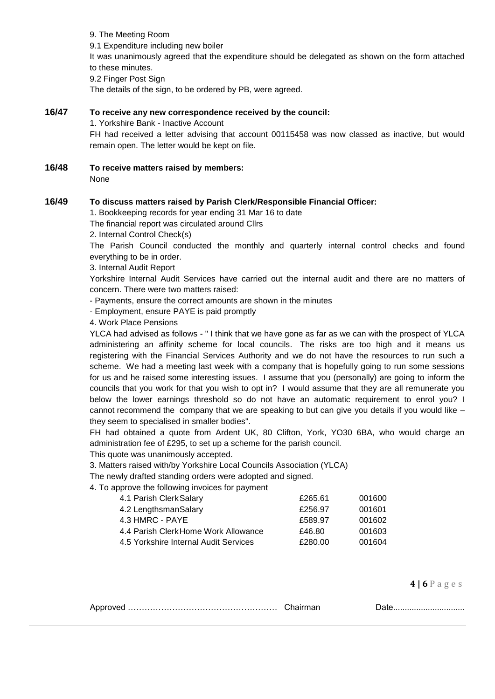9. The Meeting Room 9.1 Expenditure including new boiler It was unanimously agreed that the expenditure should be delegated as shown on the form attached to these minutes. 9.2 Finger Post Sign The details of the sign, to be ordered by PB, were agreed.

#### **16/47 To receive any new correspondence received by the council:**

1. Yorkshire Bank - Inactive Account

FH had received a letter advising that account 00115458 was now classed as inactive, but would remain open. The letter would be kept on file.

**16/48 To receive matters raised by members:** None

#### **16/49 To discuss matters raised by Parish Clerk/Responsible Financial Officer:**

1. Bookkeeping records for year ending 31 Mar 16 to date

The financial report was circulated around Cllrs

2. Internal Control Check(s)

The Parish Council conducted the monthly and quarterly internal control checks and found everything to be in order.

3. Internal Audit Report

Yorkshire Internal Audit Services have carried out the internal audit and there are no matters of concern. There were two matters raised:

- Payments, ensure the correct amounts are shown in the minutes

- Employment, ensure PAYE is paid promptly

4. Work Place Pensions

YLCA had advised as follows - " I think that we have gone as far as we can with the prospect of YLCA administering an affinity scheme for local councils. The risks are too high and it means us registering with the Financial Services Authority and we do not have the resources to run such a scheme. We had a meeting last week with a company that is hopefully going to run some sessions for us and he raised some interesting issues. I assume that you (personally) are going to inform the councils that you work for that you wish to opt in? I would assume that they are all remunerate you below the lower earnings threshold so do not have an automatic requirement to enrol you? I cannot recommend the company that we are speaking to but can give you details if you would like – they seem to specialised in smaller bodies".

FH had obtained a quote from Ardent UK, 80 Clifton, York, YO30 6BA, who would charge an administration fee of £295, to set up a scheme for the parish council.

This quote was unanimously accepted.

3. Matters raised with/by Yorkshire Local Councils Association (YLCA)

The newly drafted standing orders were adopted and signed.

4. To approve the following invoices for payment

| 4.1 Parish Clerk Salary               | £265.61 | 001600 |
|---------------------------------------|---------|--------|
| 4.2 LengthsmanSalary                  | £256.97 | 001601 |
| 4.3 HMRC - PAYE                       | £589.97 | 001602 |
| 4.4 Parish Clerk Home Work Allowance  | £46.80  | 001603 |
| 4.5 Yorkshire Internal Audit Services | £280.00 | 001604 |

**4 | 6** P a g e s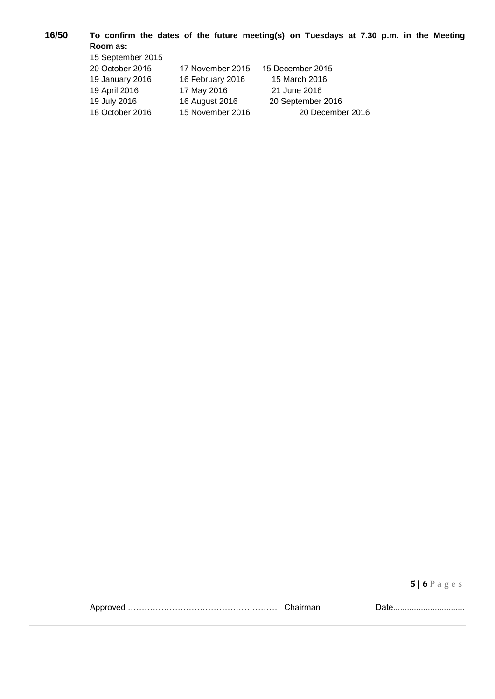**16/50 To confirm the dates of the future meeting(s) on Tuesdays at 7.30 p.m. in the Meeting Room as:** 15 September 2015

| 20 October 2015 | 17 November 2015 | 15 December 2015  |
|-----------------|------------------|-------------------|
| 19 January 2016 | 16 February 2016 | 15 March 2016     |
| 19 April 2016   | 17 May 2016      | 21 June 2016      |
| 19 July 2016    | 16 August 2016   | 20 September 2016 |
| 18 October 2016 | 15 November 2016 | 20 December 2016  |

**5 | 6** P a g e s